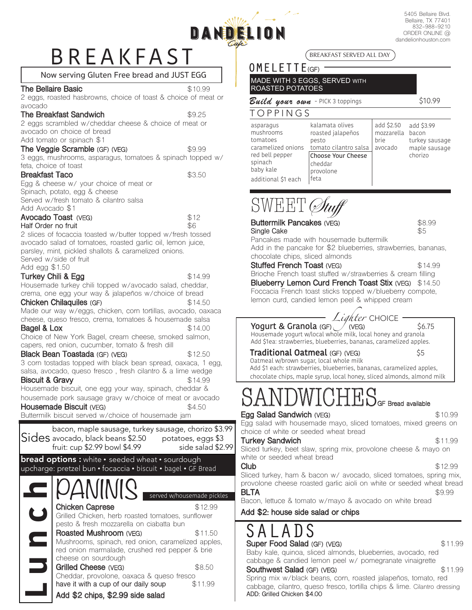# BREAKFAST

5405 Bellaire Blvd. Bellaire, TX 77401 832-988-9210 ORDER ONLINE @ dandelionhouston.com

### Now serving Gluten Free bread and JUST EGG

#### **The Bellaire Basic \$10.99 \$10.99**

2 eggs, roasted hasbrowns, choice of toast & choice of meat or avocado

### **The Breakfast Sandwich**  $$9.25$

DAND

### 2 eggs scrambled w/cheddar cheese & choice of meat or avocado on choice of bread

### Add tomato or spinach \$1

**The Veggie Scramble (GF) (VEG)** \$9.99 3 eggs, mushrooms, asparagus, tomatoes & spinach topped w/ feta, choice of toast

#### **Breakfast Taco** \$3.50

Egg & cheese w/ your choice of meat or Spinach, potato, egg & cheese Served w/fresh tomato & cilantro salsa Add Avocado \$1

**Avocado Toast** (VEG)  $$12$ <br> **Half Order no fruit** \$6 **Half Order no fruit** 2 slices of focaccia toasted w/butter topped w/fresh tossed avocado salad of tomatoes, roasted garlic oil, lemon juice, parsley, mint, pickled shallots & caramelized onions. Served w/side of fruit

Add egg \$1.50

**Turkey Chili & Egg**  $$14.99$ Housemade turkey chili topped w/avocado salad, cheddar, crema, one egg your way & jalapeños w/choice of bread

#### **Chicken Chilaquiles (GF)** \$14.50

Made our way w/eggs, chicken, corn tortillas, avocado, oaxaca cheese, queso fresco, crema, tomatoes & housemade salsa<br>**Bagel & Lox** \$14.00

**Bagel & Lox**  $$14.00$ Choice of New York Bagel, cream cheese, smoked salmon, capers, red onion, cucumber, tomato & fresh dill

**Black Bean Toastada** (GF) (VEG) \$12.50 3 corn tostadas topped with black bean spread, oaxaca, 1 egg,

salsa, avocado, queso fresco , fresh cilantro & a lime wedge **Biscuit & Gravy**  $$14.99$ 

Housemade biscuit, one egg your way, spinach, cheddar & housemade pork sausage gravy w/choice of meat or avocado<br>**Housemade Biscuit (VFG)** \$4.50

### **Housemade Biscuit (VEG)**

Buttermilk biscuit served w/choice of housemade jam



### **Add \$2 chips, \$2.99 side salad**

BREAKFAST SERVED ALL DAY

### OMELETTE<sub>(GF)</sub>

MADE WITH 3 EGGS, SERVED WITH ROASTED POTATOES

### *Build your own* - PICK 3 toppings\$10.99

### TOPPINGS

| S<br>ños | add \$2.50<br>mozzarella bacon<br>brie | add \$3.99<br>turkey sausage |
|----------|----------------------------------------|------------------------------|
| o salsa  | avocado                                | maple sausage                |
| heese    |                                        | chorizo                      |
|          |                                        |                              |
|          |                                        |                              |

## SWEET Stuff

| <b>Buttermilk Pancakes (VEG)</b>                                                                                                             | \$8.99  |
|----------------------------------------------------------------------------------------------------------------------------------------------|---------|
| \$5<br>Single Cake                                                                                                                           |         |
| Pancakes made with housemade buttermilk<br>Add in the pancake for \$2 blueberries, strawberries, bananas,<br>chocolate chips, sliced almonds |         |
| <b>Stuffed French Toast (VEG)</b>                                                                                                            | \$14.99 |
| Brioche French toast stuffed w/strawberries & cream filling                                                                                  |         |
| <b>Blueberry Lemon Curd French Toast Stix (VEG)</b> \$14.50                                                                                  |         |
| Foccacia French toast sticks topped w/blueberry compote,<br>lemon curd, candied lemon peel & whipped cream                                   |         |
|                                                                                                                                              |         |
| Lighter CHOICE                                                                                                                               |         |
| Yogurt & Granola (GF) / (VEG)<br>\$6.75                                                                                                      |         |
| Housemade yogurt w/local whole milk, local honey and granola<br>Add \$1ea: strawberries, blueberries, bananas, caramelized apples.           |         |
|                                                                                                                                              |         |
| <b>Traditional Oatmeal</b> (GF) (VEG)<br>\$5                                                                                                 |         |
| Oatmeal w/brown sugar, local whole milk                                                                                                      |         |
|                                                                                                                                              |         |
| Add \$1 each: strawberries, blueberries, bananas, caramelized apples,                                                                        |         |
| chocolate chips, maple syrup, local honey, sliced almonds, almond milk                                                                       |         |
|                                                                                                                                              |         |
|                                                                                                                                              |         |
| $\operatorname{SANDWICHES}_\text{\tiny GF Bread available}$                                                                                  |         |
| Egg Salad Sandwich (VEG)                                                                                                                     | \$10.99 |
| Egg salad with housemade mayo, sliced tomatoes, mixed greens on<br>choice of white or seeded wheat bread                                     |         |
|                                                                                                                                              |         |
| <b>Turkey Sandwich</b><br>Sliced turkey, beet slaw, spring mix, provolone cheese & mayo on<br>white or seeded wheat bread                    | \$11.99 |
|                                                                                                                                              | \$12.99 |
| Club                                                                                                                                         |         |
| Sliced turkey, ham & bacon w/ avocado, sliced tomatoes, spring mix,                                                                          |         |
| provolone cheese roasted garlic aioli on white or seeded wheat bread<br><b>BLTA</b>                                                          | \$9.99  |
| Bacon, lettuce & tomato w/mayo & avocado on white bread                                                                                      |         |

### SALADS **Super Food Salad (GF) (VEG)**  $$11.99$

Baby kale, quinoa, sliced almonds, blueberries, avocado, red cabbage & candied lemon peel w/ pomegranate vinaigrette

### **Southwest Salad (GF) (VEG)**  $$11.99$

Spring mix w/black beans, corn, roasted jalapeños, tomato, red cabbage, cilantro, queso fresco, tortilla chips & lime. Cilantro dressing **ADD: Grilled Chicken \$4.00**